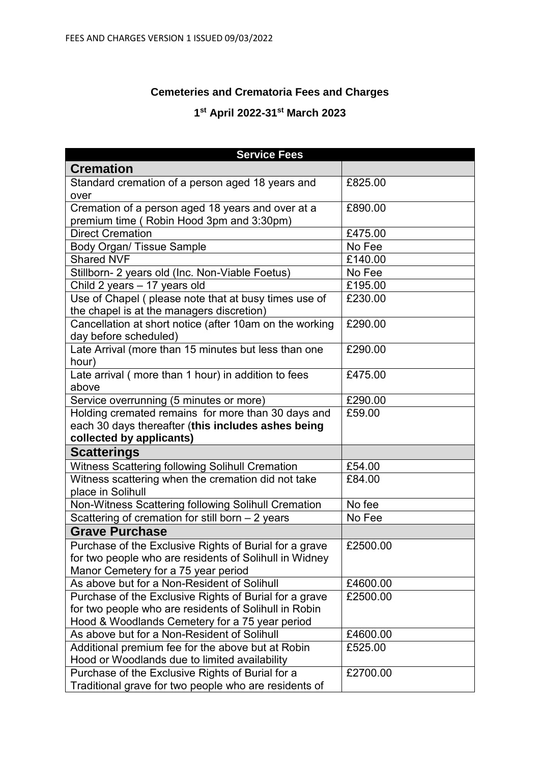## **Cemeteries and Crematoria Fees and Charges**

## **1 st April 2022-31st March 2023**

| <b>Service Fees</b>                                                                                                                                               |          |
|-------------------------------------------------------------------------------------------------------------------------------------------------------------------|----------|
| <b>Cremation</b>                                                                                                                                                  |          |
| Standard cremation of a person aged 18 years and<br>over                                                                                                          | £825.00  |
| Cremation of a person aged 18 years and over at a<br>premium time (Robin Hood 3pm and 3:30pm)                                                                     | £890.00  |
| <b>Direct Cremation</b>                                                                                                                                           | £475.00  |
| <b>Body Organ/ Tissue Sample</b>                                                                                                                                  | No Fee   |
| <b>Shared NVF</b>                                                                                                                                                 | £140.00  |
| Stillborn- 2 years old (Inc. Non-Viable Foetus)                                                                                                                   | No Fee   |
| Child 2 years - 17 years old                                                                                                                                      | £195.00  |
| Use of Chapel (please note that at busy times use of<br>the chapel is at the managers discretion)                                                                 | £230.00  |
| Cancellation at short notice (after 10am on the working<br>day before scheduled)                                                                                  | £290.00  |
| Late Arrival (more than 15 minutes but less than one<br>hour)                                                                                                     | £290.00  |
| Late arrival (more than 1 hour) in addition to fees<br>above                                                                                                      | £475.00  |
| Service overrunning (5 minutes or more)                                                                                                                           | £290.00  |
| Holding cremated remains for more than 30 days and<br>each 30 days thereafter (this includes ashes being<br>collected by applicants)                              | £59.00   |
| <b>Scatterings</b>                                                                                                                                                |          |
| Witness Scattering following Solihull Cremation                                                                                                                   | £54.00   |
| Witness scattering when the cremation did not take<br>place in Solihull                                                                                           | £84.00   |
| Non-Witness Scattering following Solihull Cremation                                                                                                               | No fee   |
| Scattering of cremation for still born $-2$ years                                                                                                                 | No Fee   |
| <b>Grave Purchase</b>                                                                                                                                             |          |
| Purchase of the Exclusive Rights of Burial for a grave<br>for two people who are residents of Solihull in Widney<br>Manor Cemetery for a 75 year period           | £2500.00 |
| As above but for a Non-Resident of Solihull                                                                                                                       | £4600.00 |
| Purchase of the Exclusive Rights of Burial for a grave<br>for two people who are residents of Solihull in Robin<br>Hood & Woodlands Cemetery for a 75 year period | £2500.00 |
| As above but for a Non-Resident of Solihull                                                                                                                       | £4600.00 |
| Additional premium fee for the above but at Robin<br>Hood or Woodlands due to limited availability                                                                | £525.00  |
| Purchase of the Exclusive Rights of Burial for a<br>Traditional grave for two people who are residents of                                                         | £2700.00 |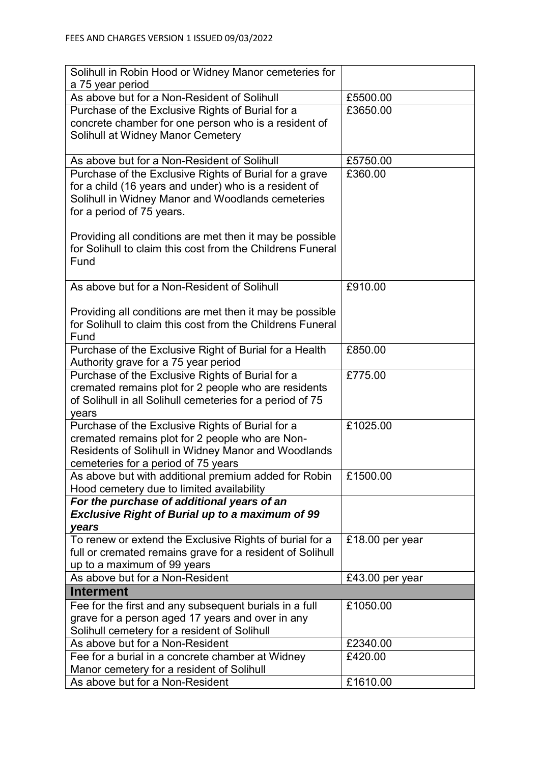| Solihull in Robin Hood or Widney Manor cemeteries for<br>a 75 year period                         |                 |
|---------------------------------------------------------------------------------------------------|-----------------|
| As above but for a Non-Resident of Solihull                                                       | £5500.00        |
| Purchase of the Exclusive Rights of Burial for a                                                  | £3650.00        |
| concrete chamber for one person who is a resident of                                              |                 |
| Solihull at Widney Manor Cemetery                                                                 |                 |
|                                                                                                   |                 |
| As above but for a Non-Resident of Solihull                                                       | £5750.00        |
| Purchase of the Exclusive Rights of Burial for a grave                                            | £360.00         |
| for a child (16 years and under) who is a resident of                                             |                 |
| Solihull in Widney Manor and Woodlands cemeteries                                                 |                 |
| for a period of 75 years.                                                                         |                 |
|                                                                                                   |                 |
| Providing all conditions are met then it may be possible                                          |                 |
| for Solihull to claim this cost from the Childrens Funeral                                        |                 |
| Fund                                                                                              |                 |
| As above but for a Non-Resident of Solihull                                                       | £910.00         |
|                                                                                                   |                 |
| Providing all conditions are met then it may be possible                                          |                 |
| for Solihull to claim this cost from the Childrens Funeral                                        |                 |
| Fund                                                                                              |                 |
| Purchase of the Exclusive Right of Burial for a Health                                            | £850.00         |
| Authority grave for a 75 year period                                                              |                 |
| Purchase of the Exclusive Rights of Burial for a                                                  | £775.00         |
| cremated remains plot for 2 people who are residents                                              |                 |
| of Solihull in all Solihull cemeteries for a period of 75                                         |                 |
| years                                                                                             |                 |
| Purchase of the Exclusive Rights of Burial for a                                                  | £1025.00        |
| cremated remains plot for 2 people who are Non-                                                   |                 |
| Residents of Solihull in Widney Manor and Woodlands                                               |                 |
| cemeteries for a period of 75 years                                                               | £1500.00        |
| As above but with additional premium added for Robin<br>Hood cemetery due to limited availability |                 |
| For the purchase of additional years of an                                                        |                 |
| <b>Exclusive Right of Burial up to a maximum of 99</b>                                            |                 |
| years                                                                                             |                 |
| To renew or extend the Exclusive Rights of burial for a                                           | £18.00 per year |
| full or cremated remains grave for a resident of Solihull                                         |                 |
| up to a maximum of 99 years                                                                       |                 |
| As above but for a Non-Resident                                                                   | £43.00 per year |
| Interment                                                                                         |                 |
| Fee for the first and any subsequent burials in a full                                            | £1050.00        |
| grave for a person aged 17 years and over in any                                                  |                 |
| Solihull cemetery for a resident of Solihull                                                      |                 |
| As above but for a Non-Resident                                                                   | £2340.00        |
| Fee for a burial in a concrete chamber at Widney                                                  | £420.00         |
| Manor cemetery for a resident of Solihull                                                         |                 |
| As above but for a Non-Resident                                                                   | £1610.00        |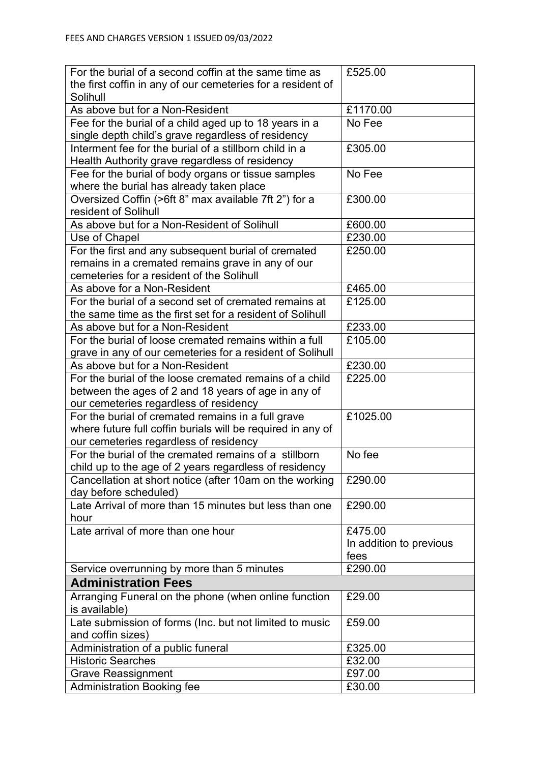| For the burial of a second coffin at the same time as                                                                                                 | £525.00                 |
|-------------------------------------------------------------------------------------------------------------------------------------------------------|-------------------------|
| the first coffin in any of our cemeteries for a resident of                                                                                           |                         |
| Solihull                                                                                                                                              |                         |
| As above but for a Non-Resident                                                                                                                       | £1170.00                |
| Fee for the burial of a child aged up to 18 years in a<br>single depth child's grave regardless of residency                                          | $\overline{N}$ o Fee    |
| Interment fee for the burial of a stillborn child in a<br>Health Authority grave regardless of residency                                              | £305.00                 |
| Fee for the burial of body organs or tissue samples<br>where the burial has already taken place                                                       | No Fee                  |
| Oversized Coffin (>6ft 8" max available 7ft 2") for a<br>resident of Solihull                                                                         | £300.00                 |
| As above but for a Non-Resident of Solihull                                                                                                           | £600.00                 |
| Use of Chapel                                                                                                                                         | £230.00                 |
| For the first and any subsequent burial of cremated<br>remains in a cremated remains grave in any of our<br>cemeteries for a resident of the Solihull | £250.00                 |
| As above for a Non-Resident                                                                                                                           | £465.00                 |
| For the burial of a second set of cremated remains at<br>the same time as the first set for a resident of Solihull                                    | £125.00                 |
| As above but for a Non-Resident                                                                                                                       | £233.00                 |
| For the burial of loose cremated remains within a full<br>grave in any of our cemeteries for a resident of Solihull                                   | £105.00                 |
| As above but for a Non-Resident                                                                                                                       | £230.00                 |
| For the burial of the loose cremated remains of a child<br>between the ages of 2 and 18 years of age in any of                                        | £225.00                 |
| our cemeteries regardless of residency<br>For the burial of cremated remains in a full grave                                                          | £1025.00                |
| where future full coffin burials will be required in any of                                                                                           |                         |
| our cemeteries regardless of residency                                                                                                                |                         |
| For the burial of the cremated remains of a stillborn                                                                                                 | No fee                  |
| child up to the age of 2 years regardless of residency                                                                                                |                         |
| Cancellation at short notice (after 10am on the working                                                                                               | £290.00                 |
| day before scheduled)                                                                                                                                 |                         |
| Late Arrival of more than 15 minutes but less than one                                                                                                | £290.00                 |
| hour                                                                                                                                                  |                         |
| Late arrival of more than one hour                                                                                                                    | £475.00                 |
|                                                                                                                                                       | In addition to previous |
|                                                                                                                                                       | fees                    |
| Service overrunning by more than 5 minutes                                                                                                            | £290.00                 |
| <b>Administration Fees</b>                                                                                                                            |                         |
| Arranging Funeral on the phone (when online function                                                                                                  | £29.00                  |
| is available)                                                                                                                                         |                         |
| Late submission of forms (Inc. but not limited to music                                                                                               | £59.00                  |
| and coffin sizes)                                                                                                                                     |                         |
| Administration of a public funeral                                                                                                                    | £325.00                 |
| <b>Historic Searches</b>                                                                                                                              | £32.00                  |
| <b>Grave Reassignment</b>                                                                                                                             | £97.00                  |
| <b>Administration Booking fee</b>                                                                                                                     | £30.00                  |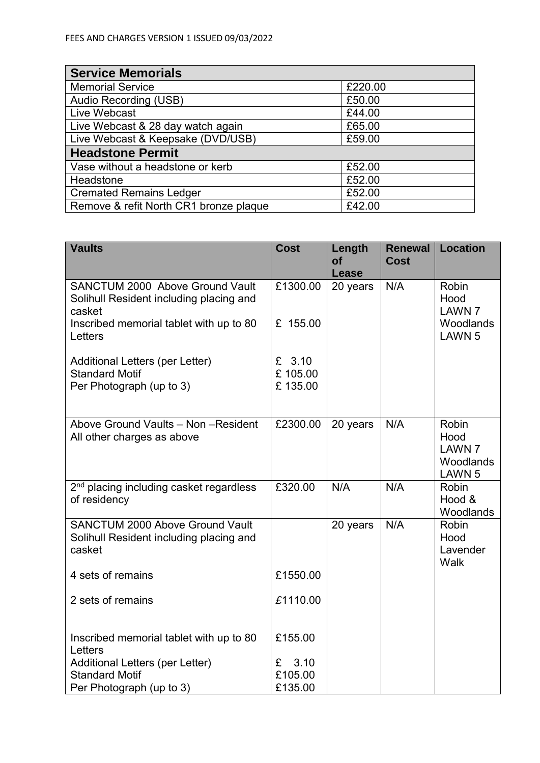| <b>Service Memorials</b>               |         |  |  |  |
|----------------------------------------|---------|--|--|--|
| <b>Memorial Service</b>                | £220.00 |  |  |  |
| Audio Recording (USB)                  | £50.00  |  |  |  |
| Live Webcast                           | £44.00  |  |  |  |
| Live Webcast & 28 day watch again      | £65.00  |  |  |  |
| Live Webcast & Keepsake (DVD/USB)      | £59.00  |  |  |  |
| <b>Headstone Permit</b>                |         |  |  |  |
| Vase without a headstone or kerb       | £52.00  |  |  |  |
| Headstone                              | £52.00  |  |  |  |
| <b>Cremated Remains Ledger</b>         | £52.00  |  |  |  |
| Remove & refit North CR1 bronze plaque | £42.00  |  |  |  |

| <b>Vaults</b>                                                                                                                                     | <b>Cost</b>                    | Length<br><b>of</b> | <b>Renewal</b><br><b>Cost</b> | <b>Location</b>                                                         |
|---------------------------------------------------------------------------------------------------------------------------------------------------|--------------------------------|---------------------|-------------------------------|-------------------------------------------------------------------------|
|                                                                                                                                                   |                                | <b>Lease</b>        |                               |                                                                         |
| <b>SANCTUM 2000 Above Ground Vault</b><br>Solihull Resident including placing and<br>casket<br>Inscribed memorial tablet with up to 80<br>Letters | £1300.00<br>£ 155.00           | 20 years            | N/A                           | Robin<br>Hood<br><b>LAWN 7</b><br>Woodlands<br>LAWN 5                   |
| Additional Letters (per Letter)<br><b>Standard Motif</b><br>Per Photograph (up to 3)                                                              | £ $3.10$<br>£105.00<br>£135.00 |                     |                               |                                                                         |
| Above Ground Vaults - Non - Resident<br>All other charges as above                                                                                | £2300.00                       | 20 years            | N/A                           | <b>Robin</b><br>Hood<br><b>LAWN 7</b><br>Woodlands<br>LAWN <sub>5</sub> |
| 2 <sup>nd</sup> placing including casket regardless<br>of residency                                                                               | £320.00                        | N/A                 | N/A                           | <b>Robin</b><br>Hood &<br>Woodlands                                     |
| <b>SANCTUM 2000 Above Ground Vault</b><br>Solihull Resident including placing and<br>casket                                                       |                                | 20 years            | N/A                           | Robin<br>Hood<br>Lavender<br>Walk                                       |
| 4 sets of remains                                                                                                                                 | £1550.00                       |                     |                               |                                                                         |
| 2 sets of remains                                                                                                                                 | £1110.00                       |                     |                               |                                                                         |
| Inscribed memorial tablet with up to 80<br>Letters                                                                                                | £155.00                        |                     |                               |                                                                         |
| Additional Letters (per Letter)                                                                                                                   | 3.10<br>£                      |                     |                               |                                                                         |
| <b>Standard Motif</b><br>Per Photograph (up to 3)                                                                                                 | £105.00<br>£135.00             |                     |                               |                                                                         |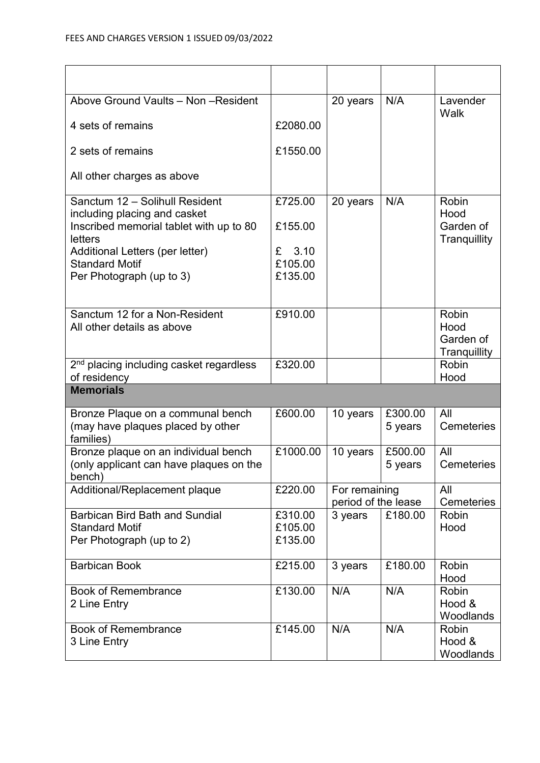| Above Ground Vaults - Non - Resident                           |           | 20 years            | N/A     | Lavender<br>Walk          |
|----------------------------------------------------------------|-----------|---------------------|---------|---------------------------|
| 4 sets of remains                                              | £2080.00  |                     |         |                           |
| 2 sets of remains                                              | £1550.00  |                     |         |                           |
| All other charges as above                                     |           |                     |         |                           |
| Sanctum 12 - Solihull Resident<br>including placing and casket | £725.00   | 20 years            | N/A     | Robin<br>Hood             |
| Inscribed memorial tablet with up to 80<br>letters             | £155.00   |                     |         | Garden of<br>Tranquillity |
| Additional Letters (per letter)                                | 3.10<br>£ |                     |         |                           |
| <b>Standard Motif</b>                                          | £105.00   |                     |         |                           |
| Per Photograph (up to 3)                                       | £135.00   |                     |         |                           |
| Sanctum 12 for a Non-Resident                                  | £910.00   |                     |         | Robin                     |
| All other details as above                                     |           |                     |         | Hood                      |
|                                                                |           |                     |         | Garden of<br>Tranquillity |
| 2 <sup>nd</sup> placing including casket regardless            | £320.00   |                     |         | Robin                     |
| of residency                                                   |           |                     |         | Hood                      |
| <b>Memorials</b>                                               |           |                     |         |                           |
| Bronze Plaque on a communal bench                              | £600.00   | 10 years            | £300.00 | All                       |
| (may have plaques placed by other<br>families)                 |           |                     | 5 years | Cemeteries                |
| Bronze plaque on an individual bench                           | £1000.00  | 10 years            | £500.00 | All                       |
| (only applicant can have plaques on the<br>bench)              |           |                     | 5 years | <b>Cemeteries</b>         |
| Additional/Replacement plaque                                  | £220.00   | For remaining       |         | All                       |
|                                                                |           | period of the lease |         | <b>Cemeteries</b>         |
| <b>Barbican Bird Bath and Sundial</b>                          | £310.00   | 3 years             | £180.00 | Robin                     |
| <b>Standard Motif</b>                                          | £105.00   |                     |         | Hood                      |
| Per Photograph (up to 2)                                       | £135.00   |                     |         |                           |
| <b>Barbican Book</b>                                           | £215.00   | 3 years             | £180.00 | Robin                     |
|                                                                |           |                     |         | Hood                      |
| <b>Book of Remembrance</b>                                     | £130.00   | N/A                 | N/A     | Robin<br>Hood &           |
| 2 Line Entry                                                   |           |                     |         | Woodlands                 |
| <b>Book of Remembrance</b>                                     | £145.00   | N/A                 | N/A     | Robin                     |
| 3 Line Entry                                                   |           |                     |         | Hood &                    |
|                                                                |           |                     |         | Woodlands                 |